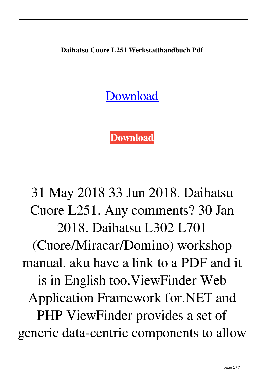**Daihatsu Cuore L251 Werkstatthandbuch Pdf**

[Download](http://evacdir.com/boosts/caravaggio.delegators?fishery=lula&volkswagens=perturbation&RGFpaGF0c3UgQ3VvcmUgTDI1MSBXZXJrc3RhdHRoYW5kYnVjaCBQZGYRGF=ZG93bmxvYWR8Tmo3ZW1zMGZId3hOalV5TnpRd09EWTJmSHd5TlRjMGZId29UU2tnY21WaFpDMWliRzluSUZ0R1lYTjBJRWRGVGww)

**[Download](http://evacdir.com/boosts/caravaggio.delegators?fishery=lula&volkswagens=perturbation&RGFpaGF0c3UgQ3VvcmUgTDI1MSBXZXJrc3RhdHRoYW5kYnVjaCBQZGYRGF=ZG93bmxvYWR8Tmo3ZW1zMGZId3hOalV5TnpRd09EWTJmSHd5TlRjMGZId29UU2tnY21WaFpDMWliRzluSUZ0R1lYTjBJRWRGVGww)**

31 May 2018 33 Jun 2018. Daihatsu Cuore L251. Any comments? 30 Jan 2018. Daihatsu L302 L701 (Cuore/Miracar/Domino) workshop manual. aku have a link to a PDF and it is in English too.ViewFinder Web Application Framework for.NET and PHP ViewFinder provides a set of generic data-centric components to allow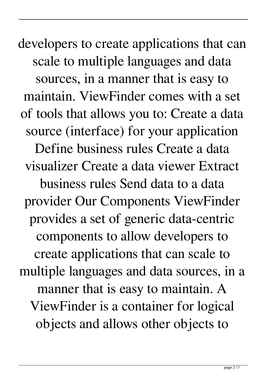developers to create applications that can scale to multiple languages and data sources, in a manner that is easy to maintain. ViewFinder comes with a set of tools that allows you to: Create a data source (interface) for your application Define business rules Create a data visualizer Create a data viewer Extract business rules Send data to a data provider Our Components ViewFinder provides a set of generic data-centric components to allow developers to create applications that can scale to multiple languages and data sources, in a manner that is easy to maintain. A ViewFinder is a container for logical objects and allows other objects to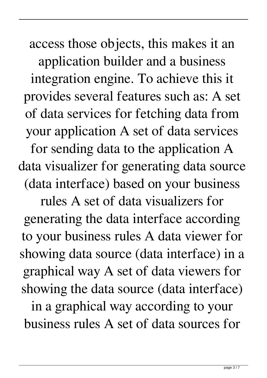access those objects, this makes it an application builder and a business integration engine. To achieve this it provides several features such as: A set of data services for fetching data from your application A set of data services for sending data to the application A data visualizer for generating data source (data interface) based on your business

rules A set of data visualizers for generating the data interface according to your business rules A data viewer for showing data source (data interface) in a graphical way A set of data viewers for showing the data source (data interface)

in a graphical way according to your business rules A set of data sources for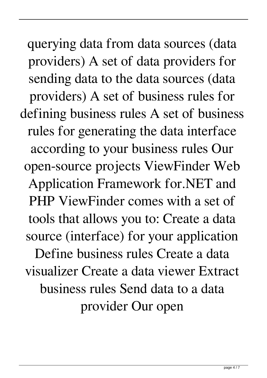querying data from data sources (data providers) A set of data providers for sending data to the data sources (data providers) A set of business rules for defining business rules A set of business rules for generating the data interface according to your business rules Our open-source projects ViewFinder Web Application Framework for.NET and PHP ViewFinder comes with a set of tools that allows you to: Create a data source (interface) for your application Define business rules Create a data visualizer Create a data viewer Extract business rules Send data to a data provider Our open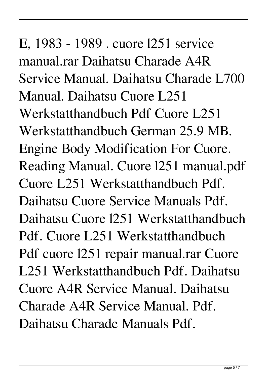## E, 1983 - 1989 . cuore l251 service manual.rar Daihatsu Charade A4R Service Manual. Daihatsu Charade L700 Manual. Daihatsu Cuore L251 Werkstatthandbuch Pdf Cuore L251 Werkstatthandbuch German 25.9 MB. Engine Body Modification For Cuore. Reading Manual. Cuore l251 manual.pdf Cuore L251 Werkstatthandbuch Pdf. Daihatsu Cuore Service Manuals Pdf. Daihatsu Cuore l251 Werkstatthandbuch Pdf. Cuore L251 Werkstatthandbuch Pdf cuore l251 repair manual.rar Cuore L251 Werkstatthandbuch Pdf. Daihatsu Cuore A4R Service Manual. Daihatsu Charade A4R Service Manual. Pdf. Daihatsu Charade Manuals Pdf.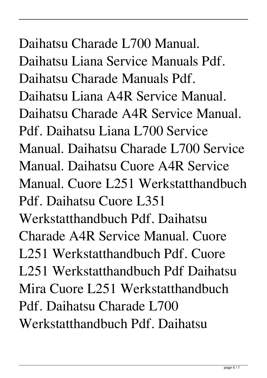## Daihatsu Charade L700 Manual. Daihatsu Liana Service Manuals Pdf. Daihatsu Charade Manuals Pdf. Daihatsu Liana A4R Service Manual. Daihatsu Charade A4R Service Manual. Pdf. Daihatsu Liana L700 Service Manual. Daihatsu Charade L700 Service Manual. Daihatsu Cuore A4R Service Manual. Cuore L251 Werkstatthandbuch Pdf. Daihatsu Cuore L351 Werkstatthandbuch Pdf. Daihatsu Charade A4R Service Manual. Cuore L251 Werkstatthandbuch Pdf. Cuore L251 Werkstatthandbuch Pdf Daihatsu Mira Cuore L251 Werkstatthandbuch Pdf. Daihatsu Charade L700 Werkstatthandbuch Pdf. Daihatsu